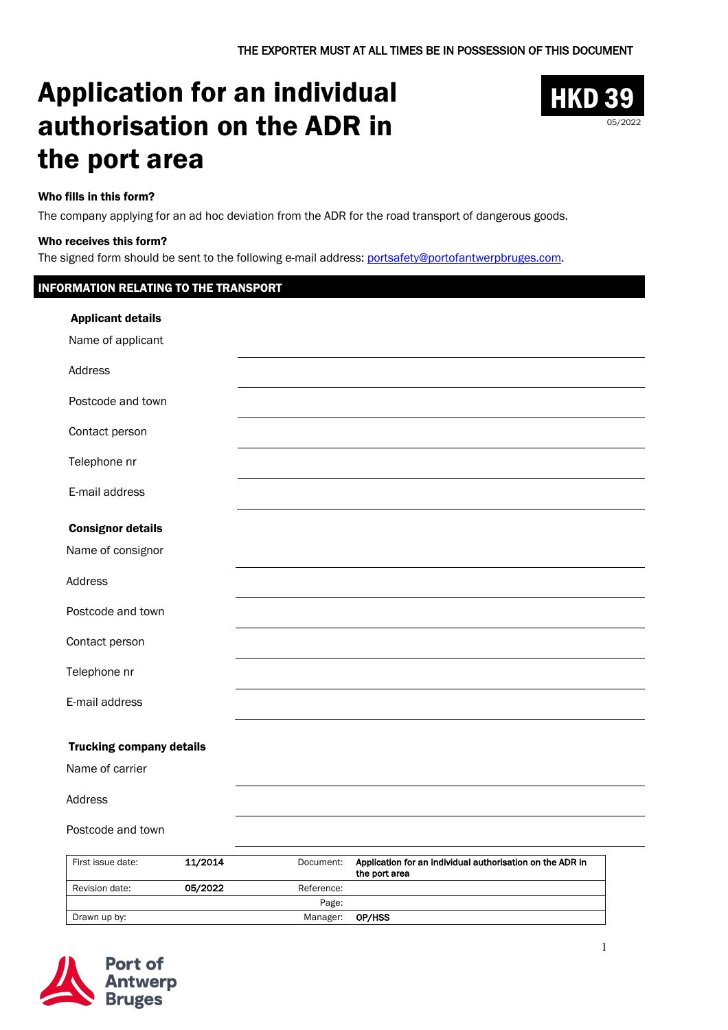# Application for an individual authorisation on the ADR in the port area



### Who fills in this form?

The company applying for an ad hoc deviation from the ADR for the road transport of dangerous goods.

#### Who receives this form?

The signed form should be sent to the following e-mail address: portsafety@portofantwerpbruges.com.

#### INFORMATION RELATING TO THE TRANSPORT

| <b>Applicant details</b>        |                                                                        |
|---------------------------------|------------------------------------------------------------------------|
| Name of applicant               |                                                                        |
| Address                         |                                                                        |
| Postcode and town               |                                                                        |
| Contact person                  |                                                                        |
| Telephone nr                    |                                                                        |
| E-mail address                  |                                                                        |
| <b>Consignor details</b>        |                                                                        |
| Name of consignor               |                                                                        |
| Address                         |                                                                        |
| Postcode and town               |                                                                        |
| Contact person                  |                                                                        |
| Telephone nr                    |                                                                        |
| E-mail address                  |                                                                        |
|                                 |                                                                        |
| <b>Trucking company details</b> |                                                                        |
| Name of carrier                 |                                                                        |
| Address                         |                                                                        |
| Postcode and town               |                                                                        |
| 11/2014<br>First issue date:    | Application for an individual authorisation on the ADR in<br>Document: |

| First issue date: | 11/2014 | Document:  | Application for an individual authorisation on the ADR in<br>the port area |
|-------------------|---------|------------|----------------------------------------------------------------------------|
| Revision date:    | 05/2022 | Reference: |                                                                            |
|                   |         | Page:      |                                                                            |
| Drawn up by:      |         | Manager:   | OP/HSS                                                                     |

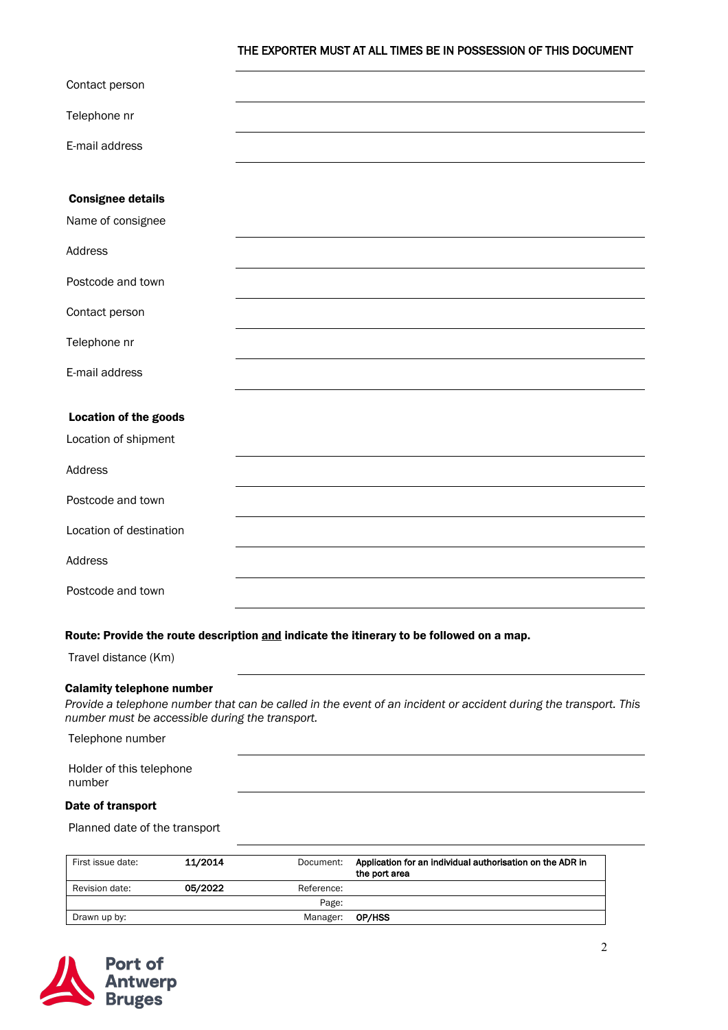#### THE EXPORTER MUST AT ALL TIMES BE IN POSSESSION OF THIS DOCUMENT

| Contact person               |  |
|------------------------------|--|
| Telephone nr                 |  |
| E-mail address               |  |
|                              |  |
| <b>Consignee details</b>     |  |
| Name of consignee            |  |
| Address                      |  |
| Postcode and town            |  |
| Contact person               |  |
| Telephone nr                 |  |
| E-mail address               |  |
|                              |  |
| <b>Location of the goods</b> |  |
| Location of shipment         |  |
| Address                      |  |
| Postcode and town            |  |
| Location of destination      |  |
| Address                      |  |
| Postcode and town            |  |
|                              |  |

#### Route: Provide the route description and indicate the itinerary to be followed on a map.

Travel distance (Km)

#### Calamity telephone number

*Provide a telephone number that can be called in the event of an incident or accident during the transport. This number must be accessible during the transport.* 

Telephone number

| Holder of this telephone |  |
|--------------------------|--|
| number                   |  |

#### Date of transport

Planned date of the transport

| First issue date: | 11/2014 | Document:  | Application for an individual authorisation on the ADR in<br>the port area |
|-------------------|---------|------------|----------------------------------------------------------------------------|
| Revision date:    | 05/2022 | Reference: |                                                                            |
|                   |         | Page:      |                                                                            |
| Drawn up by:      |         | Manager:   | OP/HSS                                                                     |

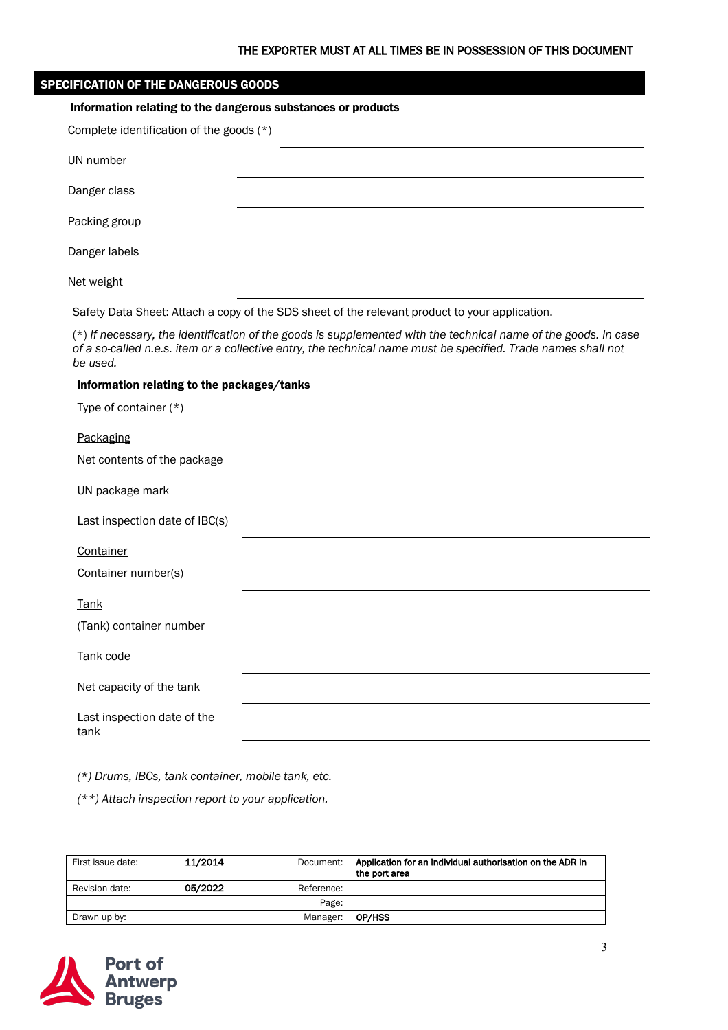|  |  |  |  | <b>SPECIFICATION OF THE DANGEROUS GOODS</b> |  |  |  |  |
|--|--|--|--|---------------------------------------------|--|--|--|--|
|  |  |  |  |                                             |  |  |  |  |
|  |  |  |  |                                             |  |  |  |  |

# Information relating to the dangerous substances or products

| Complete identification of the goods (*) |  |  |
|------------------------------------------|--|--|
| UN number                                |  |  |
| Danger class                             |  |  |
| Packing group                            |  |  |
| Danger labels                            |  |  |
| Net weight                               |  |  |

Safety Data Sheet: Attach a copy of the SDS sheet of the relevant product to your application.

(\*) *If necessary, the identification of the goods is supplemented with the technical name of the goods. In case of a so-called n.e.s. item or a collective entry, the technical name must be specified. Trade names shall not be used.*

#### Information relating to the packages/tanks

| Type of container (*) |  |  |  |  |
|-----------------------|--|--|--|--|
|-----------------------|--|--|--|--|

| Packaging                           |  |
|-------------------------------------|--|
| Net contents of the package         |  |
| UN package mark                     |  |
| Last inspection date of IBC(s)      |  |
| Container                           |  |
| Container number(s)                 |  |
| <b>Tank</b>                         |  |
| (Tank) container number             |  |
| Tank code                           |  |
| Net capacity of the tank            |  |
| Last inspection date of the<br>tank |  |

*(\*) Drums, IBCs, tank container, mobile tank, etc.*

*(\*\*) Attach inspection report to your application.* 

| First issue date: | 11/2014 | Document:  | Application for an individual authorisation on the ADR in<br>the port area |
|-------------------|---------|------------|----------------------------------------------------------------------------|
| Revision date:    | 05/2022 | Reference: |                                                                            |
|                   |         | Page:      |                                                                            |
| Drawn up by:      |         | Manager:   | OP/HSS                                                                     |